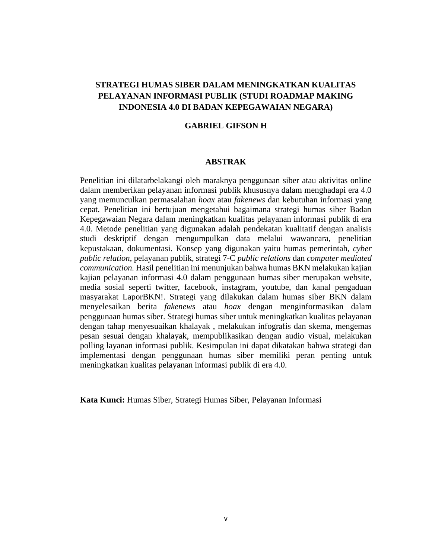# **STRATEGI HUMAS SIBER DALAM MENINGKATKAN KUALITAS PELAYANAN INFORMASI PUBLIK (STUDI ROADMAP MAKING INDONESIA 4.0 DI BADAN KEPEGAWAIAN NEGARA)**

### **GABRIEL GIFSON H**

### **ABSTRAK**

Penelitian ini dilatarbelakangi oleh maraknya penggunaan siber atau aktivitas online dalam memberikan pelayanan informasi publik khususnya dalam menghadapi era 4.0 yang memunculkan permasalahan *hoax* atau *fakenews* dan kebutuhan informasi yang cepat. Penelitian ini bertujuan mengetahui bagaimana strategi humas siber Badan Kepegawaian Negara dalam meningkatkan kualitas pelayanan informasi publik di era 4.0. Metode penelitian yang digunakan adalah pendekatan kualitatif dengan analisis studi deskriptif dengan mengumpulkan data melalui wawancara, penelitian kepustakaan, dokumentasi. Konsep yang digunakan yaitu humas pemerintah, *cyber public relation*, pelayanan publik, strategi 7-C *public relations* dan *computer mediated communication.* Hasil penelitian ini menunjukan bahwa humas BKN melakukan kajian kajian pelayanan informasi 4.0 dalam penggunaan humas siber merupakan website, media sosial seperti twitter, facebook, instagram, youtube, dan kanal pengaduan masyarakat LaporBKN!. Strategi yang dilakukan dalam humas siber BKN dalam menyelesaikan berita *fakenews* atau *hoax* dengan menginformasikan dalam penggunaan humas siber. Strategi humas siber untuk meningkatkan kualitas pelayanan dengan tahap menyesuaikan khalayak , melakukan infografis dan skema, mengemas pesan sesuai dengan khalayak, mempublikasikan dengan audio visual, melakukan polling layanan informasi publik. Kesimpulan ini dapat dikatakan bahwa strategi dan implementasi dengan penggunaan humas siber memiliki peran penting untuk meningkatkan kualitas pelayanan informasi publik di era 4.0.

**Kata Kunci:** Humas Siber, Strategi Humas Siber, Pelayanan Informasi